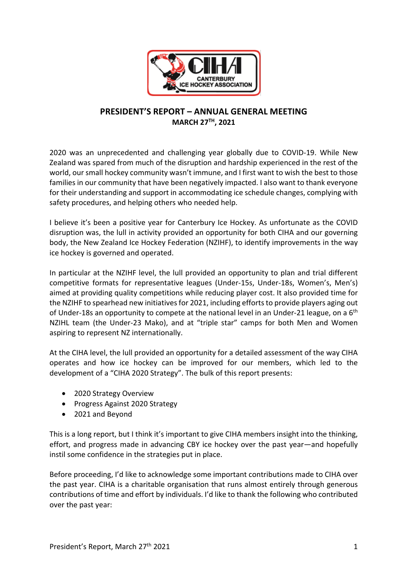

# **PRESIDENT'S REPORT – ANNUAL GENERAL MEETING MARCH 27TH, 2021**

2020 was an unprecedented and challenging year globally due to COVID-19. While New Zealand was spared from much of the disruption and hardship experienced in the rest of the world, our small hockey community wasn't immune, and I first want to wish the best to those families in our community that have been negatively impacted. I also want to thank everyone for their understanding and support in accommodating ice schedule changes, complying with safety procedures, and helping others who needed help.

I believe it's been a positive year for Canterbury Ice Hockey. As unfortunate as the COVID disruption was, the lull in activity provided an opportunity for both CIHA and our governing body, the New Zealand Ice Hockey Federation (NZIHF), to identify improvements in the way ice hockey is governed and operated.

In particular at the NZIHF level, the lull provided an opportunity to plan and trial different competitive formats for representative leagues (Under-15s, Under-18s, Women's, Men's) aimed at providing quality competitions while reducing player cost. It also provided time for the NZIHF to spearhead new initiatives for 2021, including efforts to provide players aging out of Under-18s an opportunity to compete at the national level in an Under-21 league, on a  $6<sup>th</sup>$ NZIHL team (the Under-23 Mako), and at "triple star" camps for both Men and Women aspiring to represent NZ internationally.

At the CIHA level, the lull provided an opportunity for a detailed assessment of the way CIHA operates and how ice hockey can be improved for our members, which led to the development of a "CIHA 2020 Strategy". The bulk of this report presents:

- 2020 Strategy Overview
- Progress Against 2020 Strategy
- 2021 and Beyond

This is a long report, but I think it's important to give CIHA members insight into the thinking, effort, and progress made in advancing CBY ice hockey over the past year—and hopefully instil some confidence in the strategies put in place.

Before proceeding, I'd like to acknowledge some important contributions made to CIHA over the past year. CIHA is a charitable organisation that runs almost entirely through generous contributions of time and effort by individuals. I'd like to thank the following who contributed over the past year: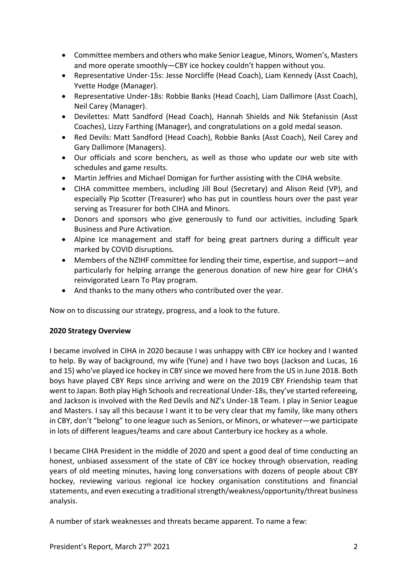- Committee members and others who make Senior League, Minors, Women's, Masters and more operate smoothly—CBY ice hockey couldn't happen without you.
- Representative Under-15s: Jesse Norcliffe (Head Coach), Liam Kennedy (Asst Coach), Yvette Hodge (Manager).
- Representative Under-18s: Robbie Banks (Head Coach), Liam Dallimore (Asst Coach), Neil Carey (Manager).
- Devilettes: Matt Sandford (Head Coach), Hannah Shields and Nik Stefanissin (Asst Coaches), Lizzy Farthing (Manager), and congratulations on a gold medal season.
- Red Devils: Matt Sandford (Head Coach), Robbie Banks (Asst Coach), Neil Carey and Gary Dallimore (Managers).
- Our officials and score benchers, as well as those who update our web site with schedules and game results.
- Martin Jeffries and Michael Domigan for further assisting with the CIHA website.
- CIHA committee members, including Jill Boul (Secretary) and Alison Reid (VP), and especially Pip Scotter (Treasurer) who has put in countless hours over the past year serving as Treasurer for both CIHA and Minors.
- Donors and sponsors who give generously to fund our activities, including Spark Business and Pure Activation.
- Alpine Ice management and staff for being great partners during a difficult year marked by COVID disruptions.
- Members of the NZIHF committee for lending their time, expertise, and support—and particularly for helping arrange the generous donation of new hire gear for CIHA's reinvigorated Learn To Play program.
- And thanks to the many others who contributed over the year.

Now on to discussing our strategy, progress, and a look to the future.

## **2020 Strategy Overview**

I became involved in CIHA in 2020 because I was unhappy with CBY ice hockey and I wanted to help. By way of background, my wife (Yune) and I have two boys (Jackson and Lucas, 16 and 15) who've played ice hockey in CBY since we moved here from the US in June 2018. Both boys have played CBY Reps since arriving and were on the 2019 CBY Friendship team that went to Japan. Both play High Schools and recreational Under-18s, they've started refereeing, and Jackson is involved with the Red Devils and NZ's Under-18 Team. I play in Senior League and Masters. I say all this because I want it to be very clear that my family, like many others in CBY, don't "belong" to one league such as Seniors, or Minors, or whatever—we participate in lots of different leagues/teams and care about Canterbury ice hockey as a whole.

I became CIHA President in the middle of 2020 and spent a good deal of time conducting an honest, unbiased assessment of the state of CBY ice hockey through observation, reading years of old meeting minutes, having long conversations with dozens of people about CBY hockey, reviewing various regional ice hockey organisation constitutions and financial statements, and even executing a traditional strength/weakness/opportunity/threat business analysis.

A number of stark weaknesses and threats became apparent. To name a few: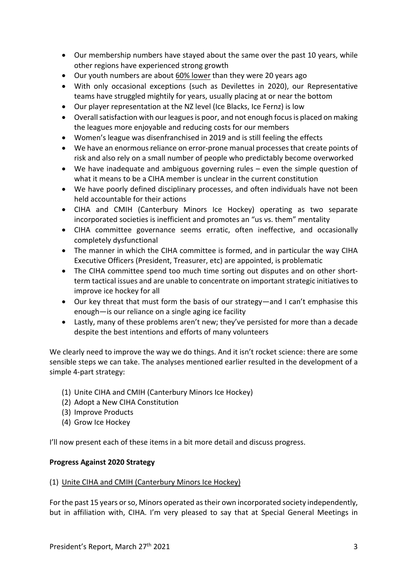- Our membership numbers have stayed about the same over the past 10 years, while other regions have experienced strong growth
- Our youth numbers are about 60% lower than they were 20 years ago
- With only occasional exceptions (such as Devilettes in 2020), our Representative teams have struggled mightily for years, usually placing at or near the bottom
- Our player representation at the NZ level (Ice Blacks, Ice Fernz) is low
- Overall satisfaction with our leagues is poor, and not enough focus is placed on making the leagues more enjoyable and reducing costs for our members
- Women's league was disenfranchised in 2019 and is still feeling the effects
- We have an enormous reliance on error-prone manual processes that create points of risk and also rely on a small number of people who predictably become overworked
- We have inadequate and ambiguous governing rules even the simple question of what it means to be a CIHA member is unclear in the current constitution
- We have poorly defined disciplinary processes, and often individuals have not been held accountable for their actions
- CIHA and CMIH (Canterbury Minors Ice Hockey) operating as two separate incorporated societies is inefficient and promotes an "us vs. them" mentality
- CIHA committee governance seems erratic, often ineffective, and occasionally completely dysfunctional
- The manner in which the CIHA committee is formed, and in particular the way CIHA Executive Officers (President, Treasurer, etc) are appointed, is problematic
- The CIHA committee spend too much time sorting out disputes and on other shortterm tactical issues and are unable to concentrate on important strategic initiatives to improve ice hockey for all
- Our key threat that must form the basis of our strategy—and I can't emphasise this enough—is our reliance on a single aging ice facility
- Lastly, many of these problems aren't new; they've persisted for more than a decade despite the best intentions and efforts of many volunteers

We clearly need to improve the way we do things. And it isn't rocket science: there are some sensible steps we can take. The analyses mentioned earlier resulted in the development of a simple 4-part strategy:

- (1) Unite CIHA and CMIH (Canterbury Minors Ice Hockey)
- (2) Adopt a New CIHA Constitution
- (3) Improve Products
- (4) Grow Ice Hockey

I'll now present each of these items in a bit more detail and discuss progress.

## **Progress Against 2020 Strategy**

#### (1) Unite CIHA and CMIH (Canterbury Minors Ice Hockey)

For the past 15 years or so, Minors operated as their own incorporated society independently, but in affiliation with, CIHA. I'm very pleased to say that at Special General Meetings in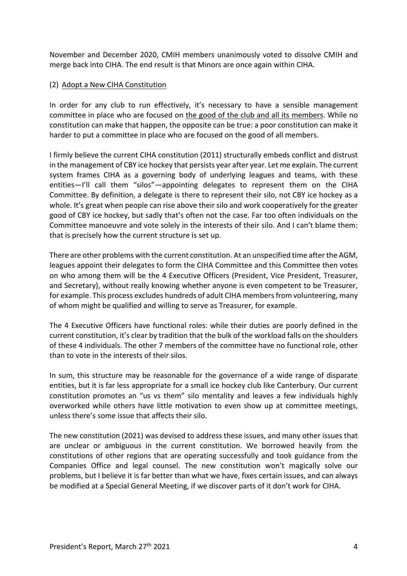November and December 2020, CMIH members unanimously voted to dissolve CMIH and merge back into CIHA. The end result is that Minors are once again within CIHA.

### (2) Adopt a New CIHA Constitution

In order for any club to run effectively, it's necessary to have a sensible management committee in place who are focused on the good of the club and all its members. While no constitution can make that happen, the opposite can be true: a poor constitution can make it harder to put a committee in place who are focused on the good of all members.

I firmly believe the current CIHA constitution (2011) structurally embeds conflict and distrust in the management of CBY ice hockey that persists year after year. Let me explain. The current system frames CIHA as a governing body of underlying leagues and teams, with these entities—I'll call them "silos"—appointing delegates to represent them on the CIHA Committee. By definition, a delegate is there to represent their silo, not CBY ice hockey as a whole. It's great when people can rise above their silo and work cooperatively for the greater good of CBY ice hockey, but sadly that's often not the case. Far too often individuals on the Committee manoeuvre and vote solely in the interests of their silo. And I can't blame them: that is precisely how the current structure is set up.

There are other problems with the current constitution. At an unspecified time after the AGM, leagues appoint their delegates to form the CIHA Committee and this Committee then votes on who among them will be the 4 Executive Officers (President, Vice President, Treasurer, and Secretary), without really knowing whether anyone is even competent to be Treasurer, for example. This process excludes hundreds of adult CIHA membersfrom volunteering, many of whom might be qualified and willing to serve as Treasurer, for example.

The 4 Executive Officers have functional roles: while their duties are poorly defined in the current constitution, it's clear by tradition that the bulk of the workload falls on the shoulders of these 4 individuals. The other 7 members of the committee have no functional role, other than to vote in the interests of their silos.

In sum, this structure may be reasonable for the governance of a wide range of disparate entities, but it is far less appropriate for a small ice hockey club like Canterbury. Our current constitution promotes an "us vs them" silo mentality and leaves a few individuals highly overworked while others have little motivation to even show up at committee meetings, unless there's some issue that affects their silo.

The new constitution (2021) was devised to address these issues, and many other issues that are unclear or ambiguous in the current constitution. We borrowed heavily from the constitutions of other regions that are operating successfully and took guidance from the Companies Office and legal counsel. The new constitution won't magically solve our problems, but I believe it is far better than what we have, fixes certain issues, and can always be modified at a Special General Meeting, if we discover parts of it don't work for CIHA.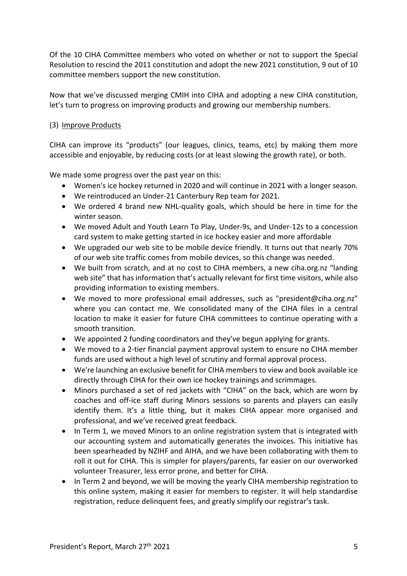Of the 10 CIHA Committee members who voted on whether or not to support the Special Resolution to rescind the 2011 constitution and adopt the new 2021 constitution, 9 out of 10 committee members support the new constitution.

Now that we've discussed merging CMIH into CIHA and adopting a new CIHA constitution, let's turn to progress on improving products and growing our membership numbers.

### (3) Improve Products

CIHA can improve its "products" (our leagues, clinics, teams, etc) by making them more accessible and enjoyable, by reducing costs (or at least slowing the growth rate), or both.

We made some progress over the past year on this:

- Women's ice hockey returned in 2020 and will continue in 2021 with a longer season.
- We reintroduced an Under-21 Canterbury Rep team for 2021.
- We ordered 4 brand new NHL-quality goals, which should be here in time for the winter season.
- We moved Adult and Youth Learn To Play, Under-9s, and Under-12s to a concession card system to make getting started in ice hockey easier and more affordable
- We upgraded our web site to be mobile device friendly. It turns out that nearly 70% of our web site traffic comes from mobile devices, so this change was needed.
- We built from scratch, and at no cost to CIHA members, a new ciha.org.nz "landing web site" that has information that's actually relevant for first time visitors, while also providing information to existing members.
- We moved to more professional email addresses, such as "president@ciha.org.nz" where you can contact me. We consolidated many of the CIHA files in a central location to make it easier for future CIHA committees to continue operating with a smooth transition.
- We appointed 2 funding coordinators and they've begun applying for grants.
- We moved to a 2-tier financial payment approval system to ensure no CIHA member funds are used without a high level of scrutiny and formal approval process.
- We're launching an exclusive benefit for CIHA members to view and book available ice directly through CIHA for their own ice hockey trainings and scrimmages.
- Minors purchased a set of red jackets with "CIHA" on the back, which are worn by coaches and off-ice staff during Minors sessions so parents and players can easily identify them. It's a little thing, but it makes CIHA appear more organised and professional, and we've received great feedback.
- In Term 1, we moved Minors to an online registration system that is integrated with our accounting system and automatically generates the invoices. This initiative has been spearheaded by NZIHF and AIHA, and we have been collaborating with them to roll it out for CIHA. This is simpler for players/parents, far easier on our overworked volunteer Treasurer, less error prone, and better for CIHA.
- In Term 2 and beyond, we will be moving the yearly CIHA membership registration to this online system, making it easier for members to register. It will help standardise registration, reduce delinquent fees, and greatly simplify our registrar's task.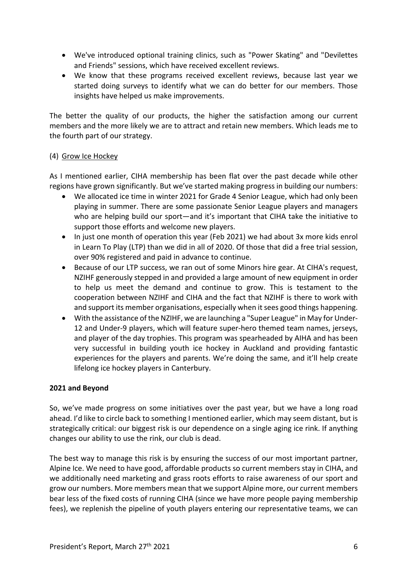- We've introduced optional training clinics, such as "Power Skating" and "Devilettes and Friends" sessions, which have received excellent reviews.
- We know that these programs received excellent reviews, because last year we started doing surveys to identify what we can do better for our members. Those insights have helped us make improvements.

The better the quality of our products, the higher the satisfaction among our current members and the more likely we are to attract and retain new members. Which leads me to the fourth part of our strategy.

### (4) Grow Ice Hockey

As I mentioned earlier, CIHA membership has been flat over the past decade while other regions have grown significantly. But we've started making progress in building our numbers:

- We allocated ice time in winter 2021 for Grade 4 Senior League, which had only been playing in summer. There are some passionate Senior League players and managers who are helping build our sport—and it's important that CIHA take the initiative to support those efforts and welcome new players.
- In just one month of operation this year (Feb 2021) we had about 3x more kids enrol in Learn To Play (LTP) than we did in all of 2020. Of those that did a free trial session, over 90% registered and paid in advance to continue.
- Because of our LTP success, we ran out of some Minors hire gear. At CIHA's request, NZIHF generously stepped in and provided a large amount of new equipment in order to help us meet the demand and continue to grow. This is testament to the cooperation between NZIHF and CIHA and the fact that NZIHF is there to work with and support its member organisations, especially when it sees good things happening.
- With the assistance of the NZIHF, we are launching a "Super League" in May for Under-12 and Under-9 players, which will feature super-hero themed team names, jerseys, and player of the day trophies. This program was spearheaded by AIHA and has been very successful in building youth ice hockey in Auckland and providing fantastic experiences for the players and parents. We're doing the same, and it'll help create lifelong ice hockey players in Canterbury.

## **2021 and Beyond**

So, we've made progress on some initiatives over the past year, but we have a long road ahead. I'd like to circle back to something I mentioned earlier, which may seem distant, but is strategically critical: our biggest risk is our dependence on a single aging ice rink. If anything changes our ability to use the rink, our club is dead.

The best way to manage this risk is by ensuring the success of our most important partner, Alpine Ice. We need to have good, affordable products so current members stay in CIHA, and we additionally need marketing and grass roots efforts to raise awareness of our sport and grow our numbers. More members mean that we support Alpine more, our current members bear less of the fixed costs of running CIHA (since we have more people paying membership fees), we replenish the pipeline of youth players entering our representative teams, we can